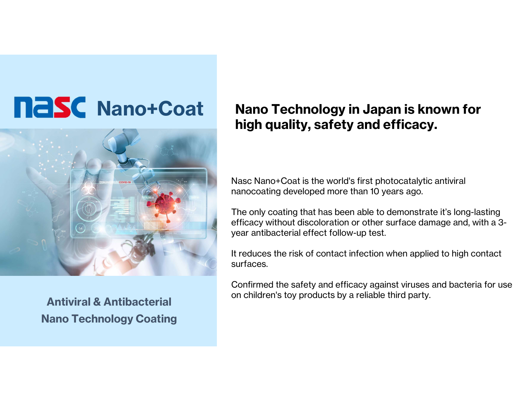## **Nano+Coat**



Nano Technology Coating

## high quality, safety and efficacy.<br>Nasc Nano+Coat is the world's first photocatalytic antiviral<br>nanocoating developed more than 10 years ago.<br>The only coating that has been able to demonstrate it's long-Nano Technology in Japan is known for high quality, safety and efficacy.

Nasc Nano+Coat is the world's first photocatalytic antiviral

Nasc Nano+Coat is the world's first photocatalytic antiviral<br>nanocoating developed more than 10 years ago.<br>The only coating that has been able to demonstrate it's long-lasting<br>efficacy without discoloration or other surfac efficacy without discoloration or other surface damage and, with a 3 year antibacterial effect follow-up test. The only coating that has been able to demonstrate it's long-lasting<br>efficacy without discoloration or other surface damage and, with a 3-<br>year antibacterial effect follow-up test.<br>It reduces the risk of contact infection The only obtaing that has been able to demonstrate the<br>efficacy without discoloration or other surface damage<br>year antibacterial effect follow-up test.<br>It reduces the risk of contact infection when applied to<br>surfaces.<br>Con

It reduces the risk of contact infection when applied to high contact surfaces.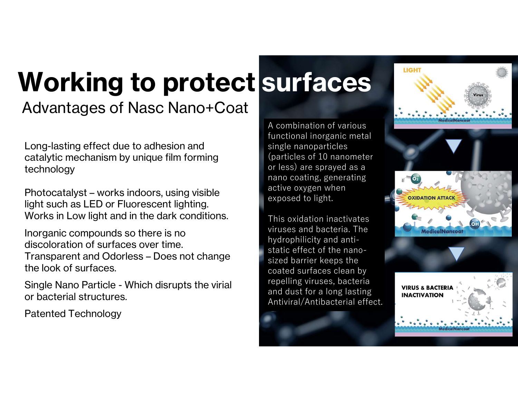## Advantages of Nasc Nano+Coat Working to protect surfaces

Long-lasting effect due to adhesion and catalytic mechanism by unique film forming technology Long-lasting effect due to adhesion and<br>catalytic mechanism by unique film forming<br>technology<br>Photocatalyst – works indoors, using visible<br>light such as LED or Fluorescent lighting.<br>Works in Low light and in the dark condi

light such as LED or Fluorescent lighting. Works in Low light and in the dark conditions.

Inorganic compounds so there is no technology<br>Photocatalyst – works indoors, using vis<br>light such as LED or Fluorescent lighting<br>Works in Low light and in the dark condi<br>Inorganic compounds so there is no<br>discoloration of surfaces over time.<br>Transparent and Photocatalyst – works indoors, using visible<br>light such as LED or Fluorescent lighting.<br>Works in Low light and in the dark conditions.<br>Inorganic compounds so there is no<br>discoloration of surfaces over time.<br>Transparent and the look of surfaces. Sight such as EED of Thorescent lighting.<br>Works in Low light and in the dark conditions.<br>Inorganic compounds so there is no<br>discoloration of surfaces over time.<br>Transparent and Odorless – Does not change<br>the look of surfac

or bacterial structures.

Patented Technology

A combination of various functional inorganic metal single nanoparticles (particles of 10 nanometer or less) are sprayed as a nano coating, generating active oxygen when exposed to light.

This oxidation inactivates viruses and bacteria. The hydrophilicity and antistatic effect of the nanosized barrier keeps the coated surfaces clean by repelling viruses, bacteria and dust for a long lasting **The Mathematical Structure** Antiviral/Antibacterial effect.